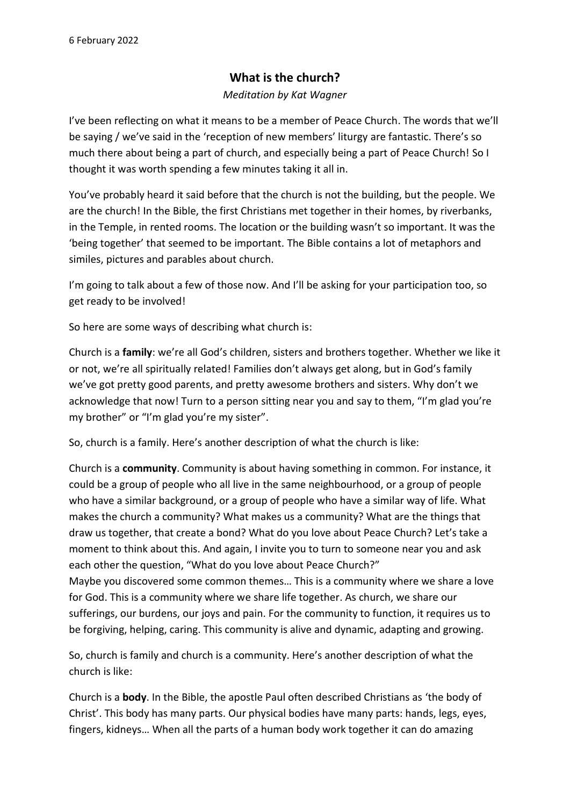## **What is the church?**

## *Meditation by Kat Wagner*

I've been reflecting on what it means to be a member of Peace Church. The words that we'll be saying / we've said in the 'reception of new members' liturgy are fantastic. There's so much there about being a part of church, and especially being a part of Peace Church! So I thought it was worth spending a few minutes taking it all in.

You've probably heard it said before that the church is not the building, but the people. We are the church! In the Bible, the first Christians met together in their homes, by riverbanks, in the Temple, in rented rooms. The location or the building wasn't so important. It was the 'being together' that seemed to be important. The Bible contains a lot of metaphors and similes, pictures and parables about church.

I'm going to talk about a few of those now. And I'll be asking for your participation too, so get ready to be involved!

So here are some ways of describing what church is:

Church is a **family**: we're all God's children, sisters and brothers together. Whether we like it or not, we're all spiritually related! Families don't always get along, but in God's family we've got pretty good parents, and pretty awesome brothers and sisters. Why don't we acknowledge that now! Turn to a person sitting near you and say to them, "I'm glad you're my brother" or "I'm glad you're my sister".

So, church is a family. Here's another description of what the church is like:

Church is a **community**. Community is about having something in common. For instance, it could be a group of people who all live in the same neighbourhood, or a group of people who have a similar background, or a group of people who have a similar way of life. What makes the church a community? What makes us a community? What are the things that draw us together, that create a bond? What do you love about Peace Church? Let's take a moment to think about this. And again, I invite you to turn to someone near you and ask each other the question, "What do you love about Peace Church?"

Maybe you discovered some common themes… This is a community where we share a love for God. This is a community where we share life together. As church, we share our sufferings, our burdens, our joys and pain. For the community to function, it requires us to be forgiving, helping, caring. This community is alive and dynamic, adapting and growing.

So, church is family and church is a community. Here's another description of what the church is like:

Church is a **body**. In the Bible, the apostle Paul often described Christians as 'the body of Christ'. This body has many parts. Our physical bodies have many parts: hands, legs, eyes, fingers, kidneys… When all the parts of a human body work together it can do amazing